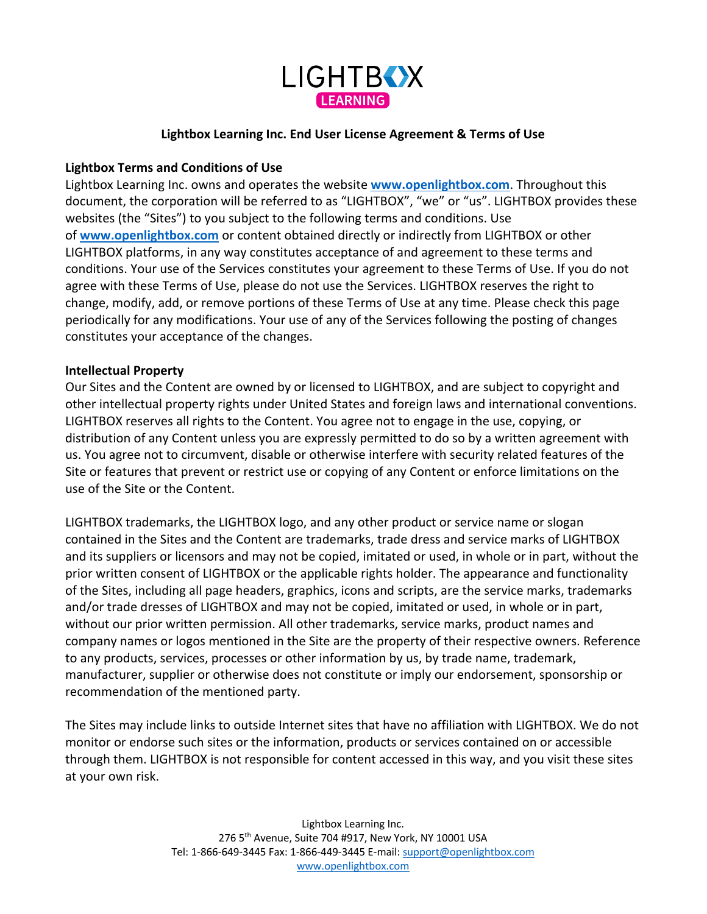

#### **Lightbox Learning Inc. End User License Agreement & Terms of Use**

### **Lightbox Terms and Conditions of Use**

Lightbox Learning Inc. owns and operates the website **www.openlightbox.com**. Throughout this document, the corporation will be referred to as "LIGHTBOX", "we" or "us". LIGHTBOX provides these websites (the "Sites") to you subject to the following terms and conditions. Use of **www.openlightbox.com** or content obtained directly or indirectly from LIGHTBOX or other LIGHTBOX platforms, in any way constitutes acceptance of and agreement to these terms and conditions. Your use of the Services constitutes your agreement to these Terms of Use. If you do not agree with these Terms of Use, please do not use the Services. LIGHTBOX reserves the right to change, modify, add, or remove portions of these Terms of Use at any time. Please check this page periodically for any modifications. Your use of any of the Services following the posting of changes constitutes your acceptance of the changes.

### **Intellectual Property**

Our Sites and the Content are owned by or licensed to LIGHTBOX, and are subject to copyright and other intellectual property rights under United States and foreign laws and international conventions. LIGHTBOX reserves all rights to the Content. You agree not to engage in the use, copying, or distribution of any Content unless you are expressly permitted to do so by a written agreement with us. You agree not to circumvent, disable or otherwise interfere with security related features of the Site or features that prevent or restrict use or copying of any Content or enforce limitations on the use of the Site or the Content.

LIGHTBOX trademarks, the LIGHTBOX logo, and any other product or service name or slogan contained in the Sites and the Content are trademarks, trade dress and service marks of LIGHTBOX and its suppliers or licensors and may not be copied, imitated or used, in whole or in part, without the prior written consent of LIGHTBOX or the applicable rights holder. The appearance and functionality of the Sites, including all page headers, graphics, icons and scripts, are the service marks, trademarks and/or trade dresses of LIGHTBOX and may not be copied, imitated or used, in whole or in part, without our prior written permission. All other trademarks, service marks, product names and company names or logos mentioned in the Site are the property of their respective owners. Reference to any products, services, processes or other information by us, by trade name, trademark, manufacturer, supplier or otherwise does not constitute or imply our endorsement, sponsorship or recommendation of the mentioned party.

The Sites may include links to outside Internet sites that have no affiliation with LIGHTBOX. We do not monitor or endorse such sites or the information, products or services contained on or accessible through them. LIGHTBOX is not responsible for content accessed in this way, and you visit these sites at your own risk.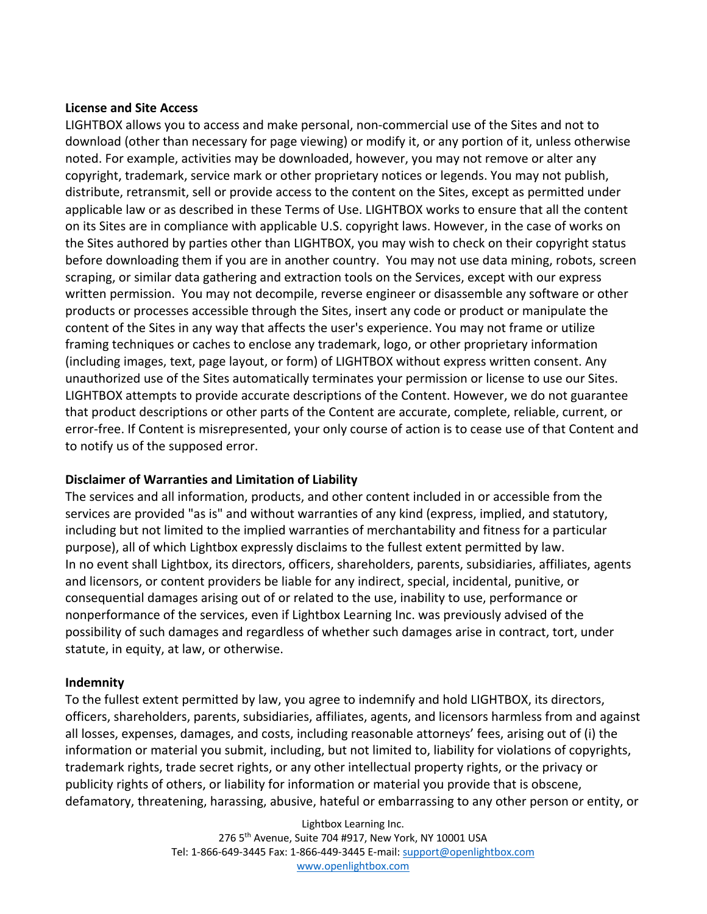### **License and Site Access**

LIGHTBOX allows you to access and make personal, non-commercial use of the Sites and not to download (other than necessary for page viewing) or modify it, or any portion of it, unless otherwise noted. For example, activities may be downloaded, however, you may not remove or alter any copyright, trademark, service mark or other proprietary notices or legends. You may not publish, distribute, retransmit, sell or provide access to the content on the Sites, except as permitted under applicable law or as described in these Terms of Use. LIGHTBOX works to ensure that all the content on its Sites are in compliance with applicable U.S. copyright laws. However, in the case of works on the Sites authored by parties other than LIGHTBOX, you may wish to check on their copyright status before downloading them if you are in another country. You may not use data mining, robots, screen scraping, or similar data gathering and extraction tools on the Services, except with our express written permission. You may not decompile, reverse engineer or disassemble any software or other products or processes accessible through the Sites, insert any code or product or manipulate the content of the Sites in any way that affects the user's experience. You may not frame or utilize framing techniques or caches to enclose any trademark, logo, or other proprietary information (including images, text, page layout, or form) of LIGHTBOX without express written consent. Any unauthorized use of the Sites automatically terminates your permission or license to use our Sites. LIGHTBOX attempts to provide accurate descriptions of the Content. However, we do not guarantee that product descriptions or other parts of the Content are accurate, complete, reliable, current, or error-free. If Content is misrepresented, your only course of action is to cease use of that Content and to notify us of the supposed error.

## **Disclaimer of Warranties and Limitation of Liability**

The services and all information, products, and other content included in or accessible from the services are provided "as is" and without warranties of any kind (express, implied, and statutory, including but not limited to the implied warranties of merchantability and fitness for a particular purpose), all of which Lightbox expressly disclaims to the fullest extent permitted by law. In no event shall Lightbox, its directors, officers, shareholders, parents, subsidiaries, affiliates, agents and licensors, or content providers be liable for any indirect, special, incidental, punitive, or consequential damages arising out of or related to the use, inability to use, performance or nonperformance of the services, even if Lightbox Learning Inc. was previously advised of the possibility of such damages and regardless of whether such damages arise in contract, tort, under statute, in equity, at law, or otherwise.

## **Indemnity**

To the fullest extent permitted by law, you agree to indemnify and hold LIGHTBOX, its directors, officers, shareholders, parents, subsidiaries, affiliates, agents, and licensors harmless from and against all losses, expenses, damages, and costs, including reasonable attorneys' fees, arising out of (i) the information or material you submit, including, but not limited to, liability for violations of copyrights, trademark rights, trade secret rights, or any other intellectual property rights, or the privacy or publicity rights of others, or liability for information or material you provide that is obscene, defamatory, threatening, harassing, abusive, hateful or embarrassing to any other person or entity, or

> Lightbox Learning Inc. 276 5th Avenue, Suite 704 #917, New York, NY 10001 USA Tel: 1-866-649-3445 Fax: 1-866-449-3445 E-mail: support@openlightbox.com www.openlightbox.com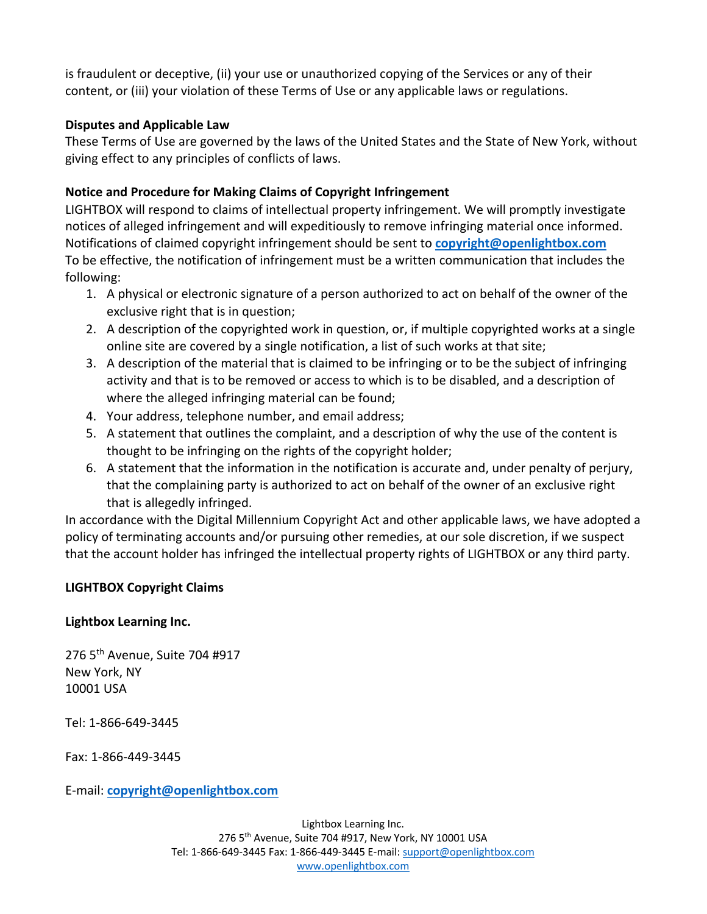is fraudulent or deceptive, (ii) your use or unauthorized copying of the Services or any of their content, or (iii) your violation of these Terms of Use or any applicable laws or regulations.

## **Disputes and Applicable Law**

These Terms of Use are governed by the laws of the United States and the State of New York, without giving effect to any principles of conflicts of laws.

# **Notice and Procedure for Making Claims of Copyright Infringement**

LIGHTBOX will respond to claims of intellectual property infringement. We will promptly investigate notices of alleged infringement and will expeditiously to remove infringing material once informed. Notifications of claimed copyright infringement should be sent to **copyright@openlightbox.com** To be effective, the notification of infringement must be a written communication that includes the following:

- 1. A physical or electronic signature of a person authorized to act on behalf of the owner of the exclusive right that is in question;
- 2. A description of the copyrighted work in question, or, if multiple copyrighted works at a single online site are covered by a single notification, a list of such works at that site;
- 3. A description of the material that is claimed to be infringing or to be the subject of infringing activity and that is to be removed or access to which is to be disabled, and a description of where the alleged infringing material can be found;
- 4. Your address, telephone number, and email address;
- 5. A statement that outlines the complaint, and a description of why the use of the content is thought to be infringing on the rights of the copyright holder;
- 6. A statement that the information in the notification is accurate and, under penalty of perjury, that the complaining party is authorized to act on behalf of the owner of an exclusive right that is allegedly infringed.

In accordance with the Digital Millennium Copyright Act and other applicable laws, we have adopted a policy of terminating accounts and/or pursuing other remedies, at our sole discretion, if we suspect that the account holder has infringed the intellectual property rights of LIGHTBOX or any third party.

# **LIGHTBOX Copyright Claims**

# **Lightbox Learning Inc.**

276 5th Avenue, Suite 704 #917 New York, NY 10001 USA

Tel: 1-866-649-3445

Fax: 1-866-449-3445

E-mail: **copyright@openlightbox.com**